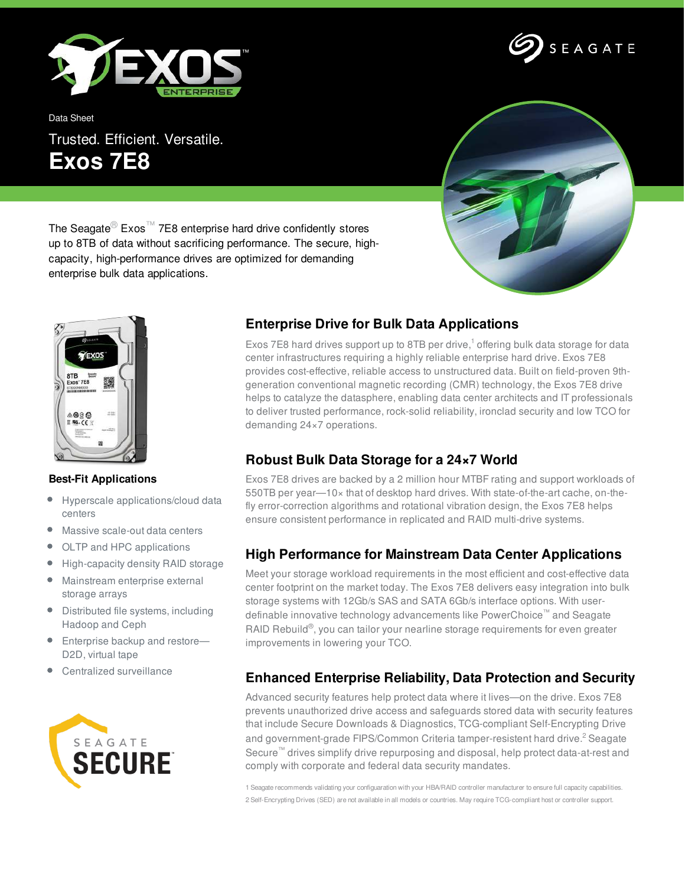

Data Sheet

Trusted. Efficient. Versatile. **Exos 7E8**



SEAGATE

The Seagate<sup>®</sup> Exos<sup>™</sup> 7E8 enterprise hard drive confidently stores up to 8TB of data without sacrificing performance. The secure, highcapacity, high-performance drives are optimized for demanding enterprise bulk data applications.



#### **Best-Fit Applications**

- $\bullet$ Hyperscale applications/cloud data centers
- Massive scale-out data centers ۰
- OLTP and HPC applications  $\bullet$
- $\bullet$ High-capacity density RAID storage
- Mainstream enterprise external storage arrays
- Distributed file systems, including Hadoop and Ceph
- **Enterprise backup and restore—** D2D, virtual tape
- Centralized surveillance



## **Enterprise Drive for Bulk Data Applications**

Exos 7E8 hard drives support up to 8TB per drive, $1$  offering bulk data storage for data center infrastructures requiring a highly reliable enterprise hard drive. Exos 7E8 provides cost-effective, reliable access to unstructured data. Built on field-proven 9thgeneration conventional magnetic recording (CMR) technology, the Exos 7E8 drive helps to catalyze the datasphere, enabling data center architects and IT professionals to deliver trusted performance, rock-solid reliability, ironclad security and low TCO for demanding 24×7 operations.

# **Robust Bulk Data Storage for a 24×7 World**

Exos 7E8 drives are backed by a 2 million hour MTBF rating and support workloads of 550TB per year—10× that of desktop hard drives. With state-of-the-art cache, on-thefly error-correction algorithms and rotational vibration design, the Exos 7E8 helps ensure consistent performance in replicated and RAID multi-drive systems.

### **High Performance for Mainstream Data Center Applications**

Meet your storage workload requirements in the most efficient and cost-effective data center footprint on the market today. The Exos 7E8 delivers easy integration into bulk storage systems with 12Gb/s SAS and SATA 6Gb/s interface options. With userdefinable innovative technology advancements like PowerChoice™ and Seagate RAID Rebuild®, you can tailor your nearline storage requirements for even greater improvements in lowering your TCO.

### **Enhanced Enterprise Reliability, Data Protection and Security**

Advanced security features help protect data where it lives—on the drive. Exos 7E8 prevents unauthorized drive access and safeguards stored data with security features that include Secure Downloads & Diagnostics, TCG-compliant Self-Encrypting Drive and government-grade FIPS/Common Criteria tamper-resistent hard drive.<sup>2</sup> Seagate Secure™ drives simplify drive repurposing and disposal, help protect data-at-rest and comply with corporate and federal data security mandates.

1 Seagate recommends validating your configuaration with your HBA/RAID controller manufacturer to ensure full capacity capabilities. 2 Self-Encrypting Drives (SED) are not available in all models or countries. May require TCG-compliant host or controller support.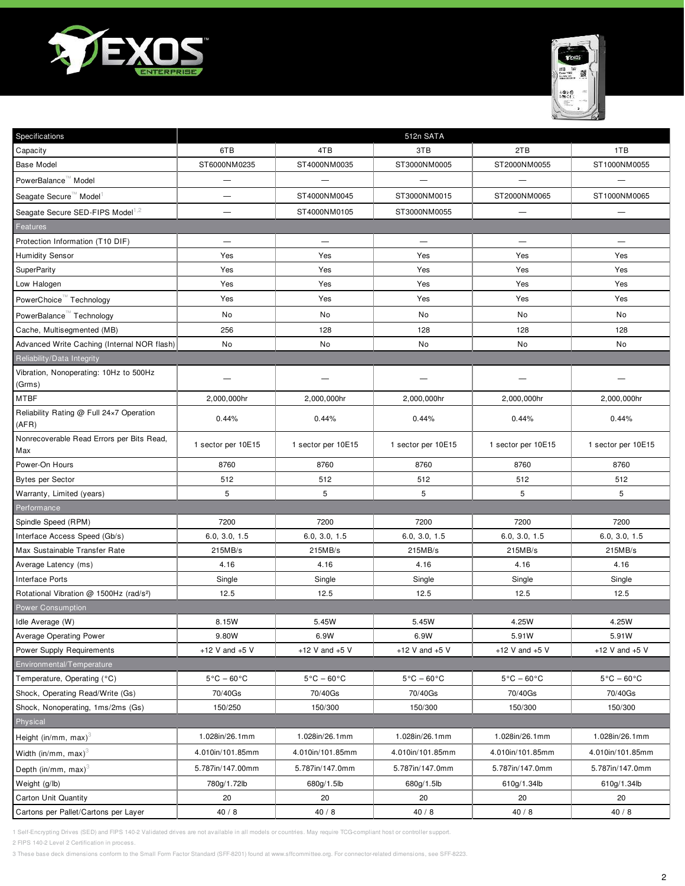



| Specifications                                      | 512n SATA                       |                                 |                                 |                                 |                                 |
|-----------------------------------------------------|---------------------------------|---------------------------------|---------------------------------|---------------------------------|---------------------------------|
| Capacity                                            | 6TB                             | 4TB                             | 3TB                             | 2TB                             | 1TB                             |
| <b>Base Model</b>                                   | ST6000NM0235                    | ST4000NM0035                    | ST3000NM0005                    | ST2000NM0055                    | ST1000NM0055                    |
| PowerBalance <sup>™</sup> Model                     | —                               |                                 |                                 |                                 |                                 |
| Seagate Secure™ Model <sup>1</sup>                  |                                 | ST4000NM0045                    | ST3000NM0015                    | ST2000NM0065                    | ST1000NM0065                    |
| Seagate Secure SED-FIPS Model <sup>1,2</sup>        | —                               | ST4000NM0105                    | ST3000NM0055                    | $\overline{\phantom{0}}$        |                                 |
| Features                                            |                                 |                                 |                                 |                                 |                                 |
| Protection Information (T10 DIF)                    |                                 | $\overline{\phantom{0}}$        |                                 | $\overline{\phantom{0}}$        | $\overline{\phantom{0}}$        |
| <b>Humidity Sensor</b>                              | Yes                             | Yes                             | Yes                             | Yes                             | Yes                             |
| <b>SuperParity</b>                                  | Yes                             | Yes                             | Yes                             | Yes                             | Yes                             |
| Low Halogen                                         | Yes                             | Yes                             | Yes                             | Yes                             | Yes                             |
| PowerChoice Technology                              | Yes                             | Yes                             | Yes                             | Yes                             | Yes                             |
| PowerBalance <sup>™</sup> Technology                | No                              | No                              | No                              | No                              | No                              |
| Cache, Multisegmented (MB)                          | 256                             | 128                             | 128                             | 128                             | 128                             |
| Advanced Write Caching (Internal NOR flash)         | No                              | No                              | No                              | No                              | No                              |
| Reliability/Data Integrity                          |                                 |                                 |                                 |                                 |                                 |
| Vibration, Nonoperating: 10Hz to 500Hz<br>(Grms)    |                                 |                                 |                                 |                                 |                                 |
| <b>MTBF</b>                                         | 2,000,000hr                     | 2,000,000hr                     | 2,000,000hr                     | 2,000,000hr                     | 2,000,000hr                     |
| Reliability Rating @ Full 24x7 Operation<br>(AFR)   | 0.44%                           | 0.44%                           | 0.44%                           | 0.44%                           | 0.44%                           |
| Nonrecoverable Read Errors per Bits Read,<br>Max    | 1 sector per 10E15              | 1 sector per 10E15              | 1 sector per 10E15              | 1 sector per 10E15              | 1 sector per 10E15              |
| Power-On Hours                                      | 8760                            | 8760                            | 8760                            | 8760                            | 8760                            |
| <b>Bytes per Sector</b>                             | 512                             | 512                             | 512                             | 512                             | 512                             |
| Warranty, Limited (years)                           | 5                               | 5                               | 5                               | 5                               | 5                               |
| Performance                                         |                                 |                                 |                                 |                                 |                                 |
| Spindle Speed (RPM)                                 | 7200                            | 7200                            | 7200                            | 7200                            | 7200                            |
| Interface Access Speed (Gb/s)                       | 6.0, 3.0, 1.5                   | 6.0, 3.0, 1.5                   | 6.0, 3.0, 1.5                   | 6.0, 3.0, 1.5                   | 6.0, 3.0, 1.5                   |
| Max Sustainable Transfer Rate                       | 215MB/s                         | 215MB/s                         | 215MB/s                         | 215MB/s                         | 215MB/s                         |
| Average Latency (ms)                                | 4.16                            | 4.16                            | 4.16                            | 4.16                            | 4.16                            |
| <b>Interface Ports</b>                              | Single                          | Single                          | Single                          | Single                          | Single                          |
| Rotational Vibration @ 1500Hz (rad/s <sup>2</sup> ) | 12.5                            | 12.5                            | 12.5                            | 12.5                            | 12.5                            |
| <b>Power Consumption</b>                            |                                 |                                 |                                 |                                 |                                 |
| Idle Average (W)                                    | 8.15W                           | 5.45W                           | 5.45W                           | 4.25W                           | 4.25W                           |
| Average Operating Power                             | 9.80W                           | 6.9W                            | 6.9W                            | 5.91W                           | 5.91W                           |
| Power Supply Requirements                           | +12 V and $+5$ V                | +12 V and $+5$ V                | +12 V and $+5$ V                | +12 V and $+5$ V                | $+12$ V and $+5$ V              |
| Environmental/Temperature                           |                                 |                                 |                                 |                                 |                                 |
| Temperature, Operating (°C)                         | $5^{\circ}$ C - 60 $^{\circ}$ C | $5^{\circ}$ C - 60 $^{\circ}$ C | $5^{\circ}$ C – 60 $^{\circ}$ C | $5^{\circ}$ C - 60 $^{\circ}$ C | $5^{\circ}$ C – 60 $^{\circ}$ C |
| Shock, Operating Read/Write (Gs)                    | 70/40Gs                         | 70/40Gs                         | 70/40Gs                         | 70/40Gs                         | 70/40Gs                         |
| Shock, Nonoperating, 1ms/2ms (Gs)                   | 150/250                         | 150/300                         | 150/300                         | 150/300                         | 150/300                         |
| Physical                                            |                                 |                                 |                                 |                                 |                                 |
| Height (in/mm, max) <sup>3</sup>                    | 1.028in/26.1mm                  | 1.028in/26.1mm                  | 1.028in/26.1mm                  | 1.028in/26.1mm                  | 1.028in/26.1mm                  |
| Width (in/mm, max) $3$                              | 4.010in/101.85mm                | 4.010in/101.85mm                | 4.010in/101.85mm                | 4.010in/101.85mm                | 4.010in/101.85mm                |
| Depth (in/mm, max) $3$                              | 5.787in/147.00mm                | 5.787in/147.0mm                 | 5.787in/147.0mm                 | 5.787in/147.0mm                 | 5.787in/147.0mm                 |
| Weight (g/lb)                                       | 780g/1.72lb                     | 680g/1.5lb                      | 680g/1.5lb                      | 610g/1.34lb                     | 610g/1.34lb                     |
| Carton Unit Quantity                                | 20                              | 20                              | 20                              | 20                              | 20                              |
| Cartons per Pallet/Cartons per Layer                | 40/8                            | $40/8$                          | 40/8                            | $40/8$                          | 40/8                            |

2 FIPS 140-2 Level 2 Certification in process.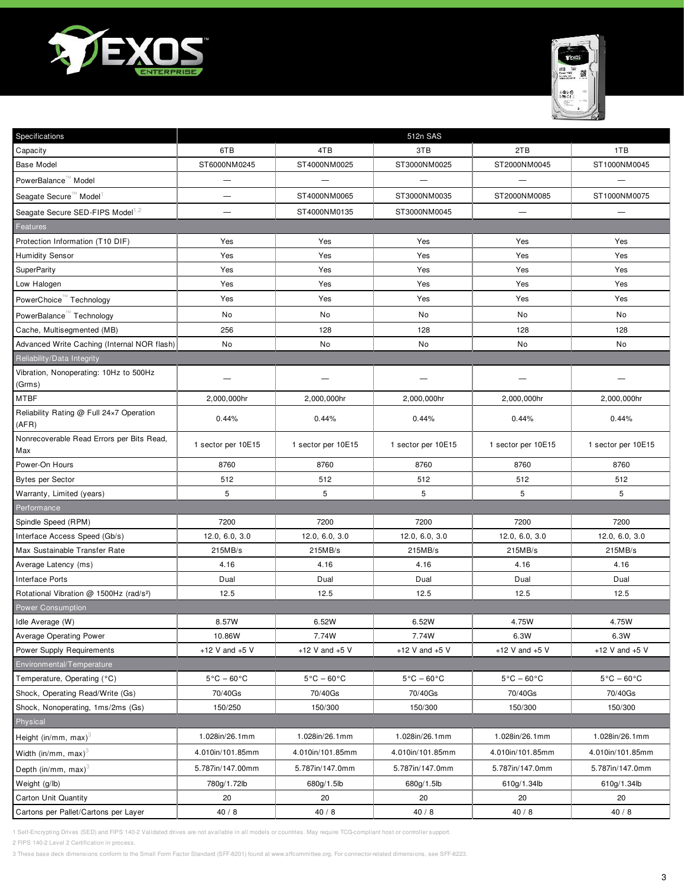



| Specifications                                      | 512n SAS                        |                                 |                                 |                                 |                                 |
|-----------------------------------------------------|---------------------------------|---------------------------------|---------------------------------|---------------------------------|---------------------------------|
| Capacity                                            | 6TB                             | 4TB                             | 3TB                             | 2TB                             | 1TB                             |
| <b>Base Model</b>                                   | ST6000NM0245                    | ST4000NM0025                    | ST3000NM0025                    | ST2000NM0045                    | ST1000NM0045                    |
| PowerBalance <sup>™</sup> Model                     | —                               |                                 |                                 |                                 |                                 |
| Seagate Secure™ Model <sup>1</sup>                  |                                 | ST4000NM0065                    | ST3000NM0035                    | ST2000NM0085                    | ST1000NM0075                    |
| Seagate Secure SED-FIPS Model <sup>1,2</sup>        | —                               | ST4000NM0135                    | ST3000NM0045                    | $\overline{\phantom{0}}$        |                                 |
| Features                                            |                                 |                                 |                                 |                                 |                                 |
| Protection Information (T10 DIF)                    | Yes                             | Yes                             | Yes                             | Yes                             | Yes                             |
| <b>Humidity Sensor</b>                              | Yes                             | Yes                             | Yes                             | Yes                             | Yes                             |
| <b>SuperParity</b>                                  | Yes                             | Yes                             | Yes                             | Yes                             | Yes                             |
| Low Halogen                                         | Yes                             | Yes                             | Yes                             | Yes                             | Yes                             |
| PowerChoice Technology                              | Yes                             | Yes                             | Yes                             | Yes                             | Yes                             |
| PowerBalance <sup>™</sup> Technology                | No                              | No                              | No                              | No                              | No                              |
| Cache, Multisegmented (MB)                          | 256                             | 128                             | 128                             | 128                             | 128                             |
| Advanced Write Caching (Internal NOR flash)         | No                              | No                              | No                              | No                              | No                              |
| Reliability/Data Integrity                          |                                 |                                 |                                 |                                 |                                 |
| Vibration, Nonoperating: 10Hz to 500Hz<br>(Grms)    |                                 |                                 |                                 |                                 |                                 |
| <b>MTBF</b>                                         | 2,000,000hr                     | 2,000,000hr                     | 2,000,000hr                     | 2,000,000hr                     | 2,000,000hr                     |
| Reliability Rating @ Full 24x7 Operation<br>(AFR)   | 0.44%                           | 0.44%                           | 0.44%                           | 0.44%                           | 0.44%                           |
| Nonrecoverable Read Errors per Bits Read,<br>Max    | 1 sector per 10E15              | 1 sector per 10E15              | 1 sector per 10E15              | 1 sector per 10E15              | 1 sector per 10E15              |
| Power-On Hours                                      | 8760                            | 8760                            | 8760                            | 8760                            | 8760                            |
| <b>Bytes per Sector</b>                             | 512                             | 512                             | 512                             | 512                             | 512                             |
| Warranty, Limited (years)                           | 5                               | 5                               | 5                               | 5                               | 5                               |
| Performance                                         |                                 |                                 |                                 |                                 |                                 |
| Spindle Speed (RPM)                                 | 7200                            | 7200                            | 7200                            | 7200                            | 7200                            |
| Interface Access Speed (Gb/s)                       | 12.0, 6.0, 3.0                  | 12.0, 6.0, 3.0                  | 12.0, 6.0, 3.0                  | 12.0, 6.0, 3.0                  | 12.0, 6.0, 3.0                  |
| Max Sustainable Transfer Rate                       | 215MB/s                         | 215MB/s                         | 215MB/s                         | 215MB/s                         | 215MB/s                         |
| Average Latency (ms)                                | 4.16                            | 4.16                            | 4.16                            | 4.16                            | 4.16                            |
| <b>Interface Ports</b>                              | Dual                            | Dual                            | Dual                            | Dual                            | Dual                            |
| Rotational Vibration @ 1500Hz (rad/s <sup>2</sup> ) | 12.5                            | 12.5                            | 12.5                            | 12.5                            | 12.5                            |
| <b>Power Consumption</b>                            |                                 |                                 |                                 |                                 |                                 |
| Idle Average (W)                                    | 8.57W                           | 6.52W                           | 6.52W                           | 4.75W                           | 4.75W                           |
| Average Operating Power                             | 10.86W                          | 7.74W                           | 7.74W                           | 6.3W                            | 6.3W                            |
| Power Supply Requirements                           | +12 V and $+5$ V                | +12 V and $+5$ V                | +12 V and $+5$ V                | +12 V and $+5$ V                | $+12$ V and $+5$ V              |
| Environmental/Temperature                           |                                 |                                 |                                 |                                 |                                 |
| Temperature, Operating (°C)                         | $5^{\circ}$ C - 60 $^{\circ}$ C | $5^{\circ}$ C - 60 $^{\circ}$ C | $5^{\circ}$ C – 60 $^{\circ}$ C | $5^{\circ}$ C - 60 $^{\circ}$ C | $5^{\circ}$ C – 60 $^{\circ}$ C |
| Shock, Operating Read/Write (Gs)                    | 70/40Gs                         | 70/40Gs                         | 70/40Gs                         | 70/40Gs                         | 70/40Gs                         |
| Shock, Nonoperating, 1ms/2ms (Gs)                   | 150/250                         | 150/300                         | 150/300                         | 150/300                         | 150/300                         |
| Physical                                            |                                 |                                 |                                 |                                 |                                 |
| Height (in/mm, max) <sup>3</sup>                    | 1.028in/26.1mm                  | 1.028in/26.1mm                  | 1.028in/26.1mm                  | 1.028in/26.1mm                  | 1.028in/26.1mm                  |
| Width (in/mm, max) <sup>3</sup>                     | 4.010in/101.85mm                | 4.010in/101.85mm                | 4.010in/101.85mm                | 4.010in/101.85mm                | 4.010in/101.85mm                |
| Depth (in/mm, max) <sup>3</sup>                     | 5.787in/147.00mm                | 5.787in/147.0mm                 | 5.787in/147.0mm                 | 5.787in/147.0mm                 | 5.787in/147.0mm                 |
| Weight (g/lb)                                       | 780g/1.72lb                     | 680g/1.5lb                      | 680g/1.5lb                      | 610g/1.34lb                     | 610g/1.34lb                     |
| Carton Unit Quantity                                | 20                              | 20                              | 20                              | 20                              | 20                              |
| Cartons per Pallet/Cartons per Layer                | 40/8                            | $40/8$                          | 40/8                            | $40/8$                          | 40/8                            |

2 FIPS 140-2 Level 2 Certification in process.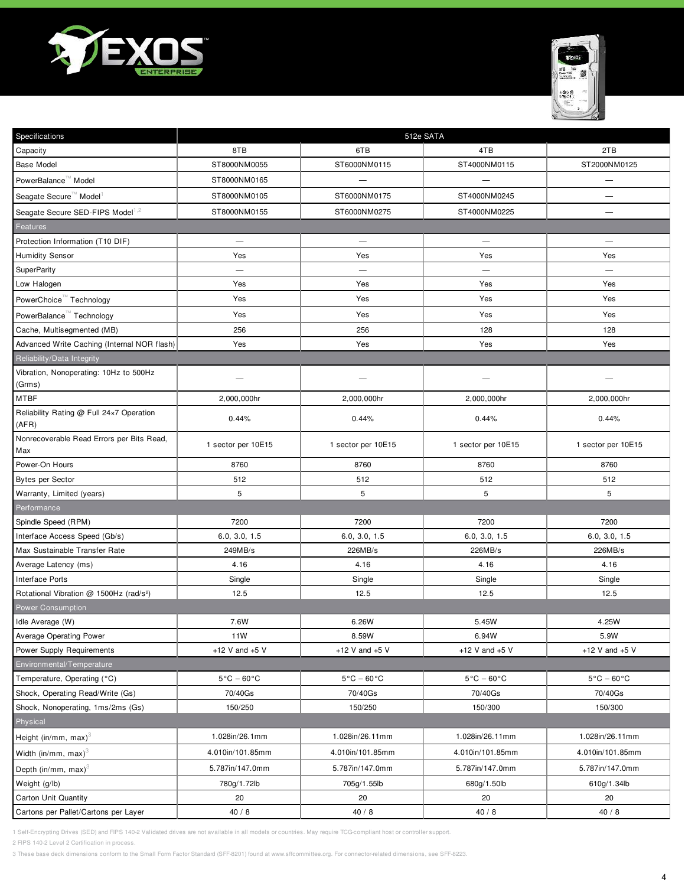



| Specifications                                      | 512e SATA                       |                                 |                                 |                                 |  |
|-----------------------------------------------------|---------------------------------|---------------------------------|---------------------------------|---------------------------------|--|
| Capacity                                            | 8TB                             | 6TB                             | 4TB                             | 2TB                             |  |
| <b>Base Model</b>                                   | ST8000NM0055                    | ST6000NM0115                    | ST4000NM0115                    | ST2000NM0125                    |  |
| PowerBalance <sup>™</sup> Model                     | ST8000NM0165                    |                                 | $\overline{\phantom{0}}$        | —                               |  |
| Seagate Secure™ Model                               | ST8000NM0105                    | ST6000NM0175                    | ST4000NM0245                    | —                               |  |
| Seagate Secure SED-FIPS Model <sup>1,2</sup>        | ST8000NM0155                    | ST6000NM0275                    | ST4000NM0225                    |                                 |  |
| Features                                            |                                 |                                 |                                 |                                 |  |
| Protection Information (T10 DIF)                    | $\overline{\phantom{0}}$        | $\overline{\phantom{0}}$        | $\overline{\phantom{0}}$        |                                 |  |
| <b>Humidity Sensor</b>                              | Yes                             | Yes                             | Yes                             | Yes                             |  |
| SuperParity                                         | $\overline{\phantom{0}}$        | $\overline{\phantom{0}}$        | $\overline{\phantom{0}}$        | $\overline{\phantom{0}}$        |  |
| Low Halogen                                         | Yes                             | Yes                             | Yes                             | Yes                             |  |
| PowerChoice <sup>™</sup> Technology                 | Yes                             | Yes                             | Yes                             | Yes                             |  |
| PowerBalance <sup>™</sup> Technology                | Yes                             | Yes                             | Yes                             | Yes                             |  |
| Cache, Multisegmented (MB)                          | 256                             | 256                             | 128                             | 128                             |  |
| Advanced Write Caching (Internal NOR flash)         | Yes                             | Yes                             | Yes                             | Yes                             |  |
| Reliability/Data Integrity                          |                                 |                                 |                                 |                                 |  |
| Vibration, Nonoperating: 10Hz to 500Hz<br>(Grms)    |                                 |                                 |                                 |                                 |  |
| <b>MTBF</b>                                         | 2,000,000hr                     | 2,000,000hr                     | 2,000,000hr                     | 2,000,000hr                     |  |
| Reliability Rating @ Full 24x7 Operation<br>(AFR)   | 0.44%                           | 0.44%                           | 0.44%                           | 0.44%                           |  |
| Nonrecoverable Read Errors per Bits Read,<br>Max    | 1 sector per 10E15              | 1 sector per 10E15              | 1 sector per 10E15              | 1 sector per 10E15              |  |
| Power-On Hours                                      | 8760                            | 8760                            | 8760                            | 8760                            |  |
| <b>Bytes per Sector</b>                             | 512                             | 512                             | 512                             | 512                             |  |
| Warranty, Limited (years)                           | 5                               | 5                               | 5                               | 5                               |  |
| Performance                                         |                                 |                                 |                                 |                                 |  |
| Spindle Speed (RPM)                                 | 7200                            | 7200                            | 7200                            | 7200                            |  |
| Interface Access Speed (Gb/s)                       | 6.0, 3.0, 1.5                   | 6.0, 3.0, 1.5                   | 6.0, 3.0, 1.5                   | 6.0, 3.0, 1.5                   |  |
| Max Sustainable Transfer Rate                       | 249MB/s                         | 226MB/s                         | 226MB/s                         | 226MB/s                         |  |
| Average Latency (ms)                                | 4.16                            | 4.16                            | 4.16                            | 4.16                            |  |
| Interface Ports                                     | Single                          | Single                          | Single                          | Single                          |  |
| Rotational Vibration @ 1500Hz (rad/s <sup>2</sup> ) | 12.5                            | 12.5                            | 12.5                            | 12.5                            |  |
| <b>Power Consumption</b>                            |                                 |                                 |                                 |                                 |  |
| Idle Average (W)                                    | 7.6W                            | 6.26W                           | 5.45W                           | 4.25W                           |  |
| <b>Average Operating Power</b>                      | 11W                             | 8.59W                           | 6.94W                           | 5.9W                            |  |
| <b>Power Supply Requirements</b>                    | +12 V and $+5$ V                | +12 V and $+5$ V                | +12 V and $+5$ V                | +12 V and $+5$ V                |  |
| Environmental/Temperature                           |                                 |                                 |                                 |                                 |  |
| Temperature, Operating (°C)                         | $5^{\circ}$ C – 60 $^{\circ}$ C | $5^{\circ}$ C – 60 $^{\circ}$ C | $5^{\circ}$ C – 60 $^{\circ}$ C | $5^{\circ}$ C – 60 $^{\circ}$ C |  |
| Shock, Operating Read/Write (Gs)                    | 70/40Gs                         | 70/40Gs                         | 70/40Gs                         | 70/40Gs                         |  |
| Shock, Nonoperating, 1ms/2ms (Gs)                   | 150/250                         | 150/250                         | 150/300                         | 150/300                         |  |
| Physical                                            |                                 |                                 |                                 |                                 |  |
| Height (in/mm, max) $3$                             | 1.028in/26.1mm                  | 1.028in/26.11mm                 | 1.028in/26.11mm                 | 1.028in/26.11mm                 |  |
| Width (in/mm, max) $3$                              | 4.010in/101.85mm                | 4.010in/101.85mm                | 4.010in/101.85mm                | 4.010in/101.85mm                |  |
| Depth (in/mm, max) <sup>3</sup>                     | 5.787in/147.0mm                 | 5.787in/147.0mm                 | 5.787in/147.0mm                 | 5.787in/147.0mm                 |  |
| Weight (g/lb)                                       | 780g/1.72lb                     | 705g/1.55lb                     | 680g/1.50lb                     | 610g/1.34lb                     |  |
| Carton Unit Quantity                                | 20                              | 20                              | 20                              | 20                              |  |
| Cartons per Pallet/Cartons per Layer                | 40/8                            | 40/8                            | 40/8                            | 40/8                            |  |

2 FIPS 140-2 Level 2 Certification in process.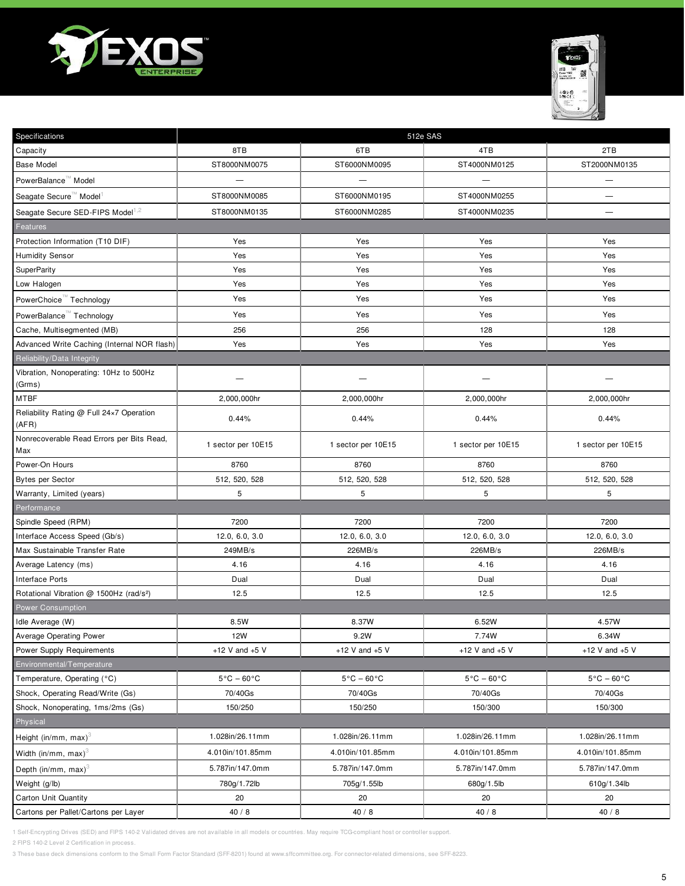



| Specifications                                      | 512e SAS                        |                                 |                                 |                                 |  |
|-----------------------------------------------------|---------------------------------|---------------------------------|---------------------------------|---------------------------------|--|
| Capacity                                            | 8TB                             | 6TB                             | 4TB                             | 2TB                             |  |
| <b>Base Model</b>                                   | ST8000NM0075                    | ST6000NM0095                    | ST4000NM0125                    | ST2000NM0135                    |  |
| PowerBalance <sup>™</sup> Model                     |                                 |                                 | $\overline{\phantom{0}}$        | —                               |  |
| Seagate Secure <sup>™</sup> Model                   | ST8000NM0085                    | ST6000NM0195                    | ST4000NM0255                    | —                               |  |
| Seagate Secure SED-FIPS Model <sup>1,2</sup>        | ST8000NM0135                    | ST6000NM0285                    | ST4000NM0235                    | —                               |  |
| Features                                            |                                 |                                 |                                 |                                 |  |
| Protection Information (T10 DIF)                    | Yes                             | Yes                             | Yes                             | Yes                             |  |
| <b>Humidity Sensor</b>                              | Yes                             | Yes                             | Yes                             | Yes                             |  |
| <b>SuperParity</b>                                  | Yes                             | Yes                             | Yes                             | Yes                             |  |
| Low Halogen                                         | Yes                             | Yes                             | Yes                             | Yes                             |  |
| PowerChoice <sup>™</sup> Technology                 | Yes                             | Yes                             | Yes                             | Yes                             |  |
| PowerBalance <sup>™</sup> Technology                | Yes                             | Yes                             | Yes                             | Yes                             |  |
| Cache, Multisegmented (MB)                          | 256                             | 256                             | 128                             | 128                             |  |
| Advanced Write Caching (Internal NOR flash)         | Yes                             | Yes                             | Yes                             | Yes                             |  |
| Reliability/Data Integrity                          |                                 |                                 |                                 |                                 |  |
| Vibration, Nonoperating: 10Hz to 500Hz<br>(Grms)    |                                 |                                 |                                 |                                 |  |
| <b>MTBF</b>                                         | 2,000,000hr                     | 2,000,000hr                     | 2,000,000hr                     | 2,000,000hr                     |  |
| Reliability Rating @ Full 24x7 Operation<br>(AFR)   | 0.44%                           | 0.44%                           | 0.44%                           | 0.44%                           |  |
| Nonrecoverable Read Errors per Bits Read,<br>Max    | 1 sector per 10E15              | 1 sector per 10E15              | 1 sector per 10E15              | 1 sector per 10E15              |  |
| Power-On Hours                                      | 8760                            | 8760                            | 8760                            | 8760                            |  |
| <b>Bytes per Sector</b>                             | 512, 520, 528                   | 512, 520, 528                   | 512, 520, 528                   | 512, 520, 528                   |  |
| Warranty, Limited (years)                           | 5                               | 5                               | 5                               | 5                               |  |
| Performance                                         |                                 |                                 |                                 |                                 |  |
| Spindle Speed (RPM)                                 | 7200                            | 7200                            | 7200                            | 7200                            |  |
| Interface Access Speed (Gb/s)                       | 12.0, 6.0, 3.0                  | 12.0, 6.0, 3.0                  | 12.0, 6.0, 3.0                  | 12.0, 6.0, 3.0                  |  |
| Max Sustainable Transfer Rate                       | 249MB/s                         | 226MB/s                         | 226MB/s                         | 226MB/s                         |  |
| Average Latency (ms)                                | 4.16                            | 4.16                            | 4.16                            | 4.16                            |  |
| <b>Interface Ports</b>                              | Dual                            | Dual                            | Dual                            | Dual                            |  |
| Rotational Vibration @ 1500Hz (rad/s <sup>2</sup> ) | 12.5                            | 12.5                            | 12.5                            | 12.5                            |  |
| <b>Power Consumption</b>                            |                                 |                                 |                                 |                                 |  |
| Idle Average (W)                                    | 8.5W                            | 8.37W                           | 6.52W                           | 4.57W                           |  |
| Average Operating Power                             | 12W                             | 9.2W                            | 7.74W                           | 6.34W                           |  |
| Power Supply Requirements                           | +12 V and $+5$ V                | +12 V and $+5$ V                | +12 V and $+5$ V                | +12 V and $+5$ V                |  |
| Environmental/Temperature                           |                                 |                                 |                                 |                                 |  |
| Temperature, Operating (°C)                         | $5^{\circ}$ C – 60 $^{\circ}$ C | $5^{\circ}$ C - 60 $^{\circ}$ C | $5^{\circ}$ C – 60 $^{\circ}$ C | $5^{\circ}$ C – 60 $^{\circ}$ C |  |
| Shock, Operating Read/Write (Gs)                    | 70/40Gs                         | 70/40Gs                         | 70/40Gs                         | 70/40Gs                         |  |
| Shock, Nonoperating, 1ms/2ms (Gs)                   | 150/250                         | 150/250                         | 150/300                         | 150/300                         |  |
| Physical                                            |                                 |                                 |                                 |                                 |  |
| Height (in/mm, max) <sup>3</sup>                    | 1.028in/26.11mm                 | 1.028in/26.11mm                 | 1.028in/26.11mm                 | 1.028in/26.11mm                 |  |
| Width (in/mm, max) $3$                              | 4.010in/101.85mm                | 4.010in/101.85mm                | 4.010in/101.85mm                | 4.010in/101.85mm                |  |
| Depth (in/mm, max) <sup>3</sup>                     | 5.787in/147.0mm                 | 5.787in/147.0mm                 | 5.787in/147.0mm                 | 5.787in/147.0mm                 |  |
| Weight (g/lb)                                       | 780g/1.72lb                     | 705g/1.55lb                     | 680g/1.5lb                      | 610g/1.34lb                     |  |
| Carton Unit Quantity                                | 20                              | 20                              | 20                              | 20                              |  |
| Cartons per Pallet/Cartons per Layer                | 40/8                            | 40/8                            | 40/8                            | 40/8                            |  |

2 FIPS 140-2 Level 2 Certification in process.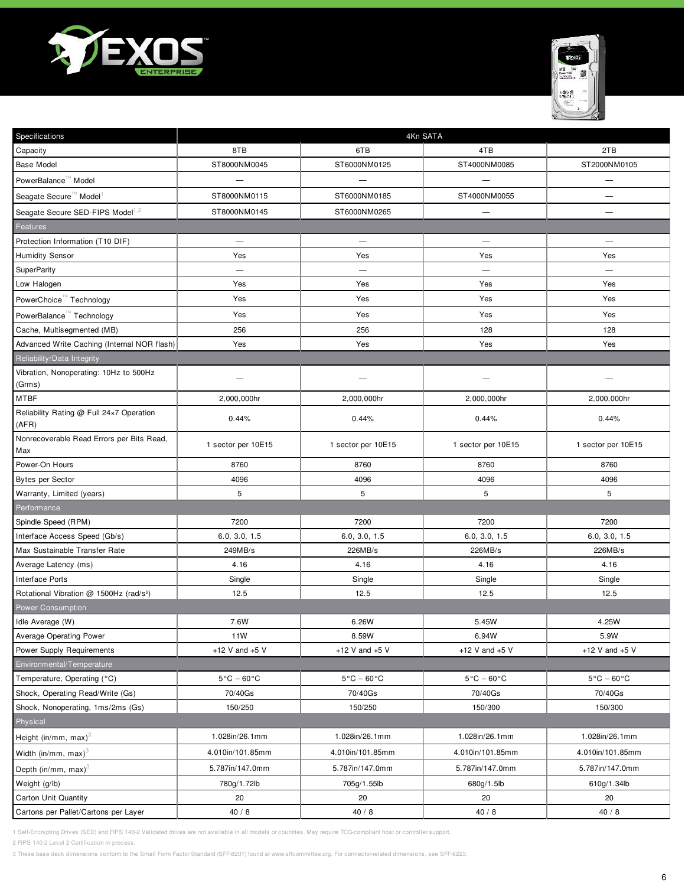



| Specifications                                      | 4Kn SATA                        |                                 |                                 |                                 |  |
|-----------------------------------------------------|---------------------------------|---------------------------------|---------------------------------|---------------------------------|--|
| Capacity                                            | 8TB                             | 6TB                             | 4TB                             | 2TB                             |  |
| <b>Base Model</b>                                   | ST8000NM0045                    | ST6000NM0125                    | ST4000NM0085                    | ST2000NM0105                    |  |
| PowerBalance <sup>™</sup> Model                     |                                 |                                 | $\overline{\phantom{0}}$        | —                               |  |
| Seagate Secure <sup>™</sup> Model                   | ST8000NM0115                    | ST6000NM0185                    | ST4000NM0055                    | —                               |  |
| Seagate Secure SED-FIPS Model <sup>1,2</sup>        | ST8000NM0145                    | ST6000NM0265                    | $\overline{\phantom{0}}$        |                                 |  |
| Features                                            |                                 |                                 |                                 |                                 |  |
| Protection Information (T10 DIF)                    | $\overline{\phantom{0}}$        | $\overline{\phantom{0}}$        | $\overline{\phantom{0}}$        |                                 |  |
| <b>Humidity Sensor</b>                              | Yes                             | Yes                             | Yes                             | Yes                             |  |
| SuperParity                                         | $\overline{\phantom{0}}$        | $\overline{\phantom{0}}$        | $\overline{\phantom{0}}$        | $\overline{\phantom{0}}$        |  |
| Low Halogen                                         | Yes                             | Yes                             | Yes                             | Yes                             |  |
| PowerChoice <sup>™</sup> Technology                 | Yes                             | Yes                             | Yes                             | Yes                             |  |
| PowerBalance <sup>™</sup> Technology                | Yes                             | Yes                             | Yes                             | Yes                             |  |
| Cache, Multisegmented (MB)                          | 256                             | 256                             | 128                             | 128                             |  |
| Advanced Write Caching (Internal NOR flash)         | Yes                             | Yes                             | Yes                             | Yes                             |  |
| Reliability/Data Integrity                          |                                 |                                 |                                 |                                 |  |
| Vibration, Nonoperating: 10Hz to 500Hz<br>(Grms)    |                                 |                                 |                                 |                                 |  |
| <b>MTBF</b>                                         | 2,000,000hr                     | 2,000,000hr                     | 2,000,000hr                     | 2,000,000hr                     |  |
| Reliability Rating @ Full 24x7 Operation<br>(AFR)   | 0.44%                           | 0.44%                           | 0.44%                           | 0.44%                           |  |
| Nonrecoverable Read Errors per Bits Read,<br>Max    | 1 sector per 10E15              | 1 sector per 10E15              | 1 sector per 10E15              | 1 sector per 10E15              |  |
| Power-On Hours                                      | 8760                            | 8760                            | 8760                            | 8760                            |  |
| <b>Bytes per Sector</b>                             | 4096                            | 4096                            | 4096                            | 4096                            |  |
| Warranty, Limited (years)                           | 5                               | 5                               | 5                               | 5                               |  |
| Performance                                         |                                 |                                 |                                 |                                 |  |
| Spindle Speed (RPM)                                 | 7200                            | 7200                            | 7200                            | 7200                            |  |
| Interface Access Speed (Gb/s)                       | 6.0, 3.0, 1.5                   | 6.0, 3.0, 1.5                   | 6.0, 3.0, 1.5                   | 6.0, 3.0, 1.5                   |  |
| Max Sustainable Transfer Rate                       | 249MB/s                         | 226MB/s                         | 226MB/s                         | 226MB/s                         |  |
| Average Latency (ms)                                | 4.16                            | 4.16                            | 4.16                            | 4.16                            |  |
| Interface Ports                                     | Single                          | Single                          | Single                          | Single                          |  |
| Rotational Vibration @ 1500Hz (rad/s <sup>2</sup> ) | 12.5                            | 12.5                            | 12.5                            | 12.5                            |  |
| <b>Power Consumption</b>                            |                                 |                                 |                                 |                                 |  |
| Idle Average (W)                                    | 7.6W                            | 6.26W                           | 5.45W                           | 4.25W                           |  |
| <b>Average Operating Power</b>                      | 11W                             | 8.59W                           | 6.94W                           | 5.9W                            |  |
| <b>Power Supply Requirements</b>                    | +12 V and $+5$ V                | +12 V and $+5$ V                | +12 V and $+5$ V                | +12 V and $+5$ V                |  |
| Environmental/Temperature                           |                                 |                                 |                                 |                                 |  |
| Temperature, Operating (°C)                         | $5^{\circ}$ C – 60 $^{\circ}$ C | $5^{\circ}$ C – 60 $^{\circ}$ C | $5^{\circ}$ C – 60 $^{\circ}$ C | $5^{\circ}$ C – 60 $^{\circ}$ C |  |
| Shock, Operating Read/Write (Gs)                    | 70/40Gs                         | 70/40Gs                         | 70/40Gs                         | 70/40Gs                         |  |
| Shock, Nonoperating, 1ms/2ms (Gs)                   | 150/250                         | 150/250                         | 150/300                         | 150/300                         |  |
| Physical                                            |                                 |                                 |                                 |                                 |  |
| Height (in/mm, max) $3$                             | 1.028in/26.1mm                  | 1.028in/26.1mm                  | 1.028in/26.1mm                  | 1.028in/26.1mm                  |  |
| Width (in/mm, max) <sup>3</sup>                     | 4.010in/101.85mm                | 4.010in/101.85mm                | 4.010in/101.85mm                | 4.010in/101.85mm                |  |
| Depth (in/mm, max) <sup>3</sup>                     | 5.787in/147.0mm                 | 5.787in/147.0mm                 | 5.787in/147.0mm                 | 5.787in/147.0mm                 |  |
| Weight (g/lb)                                       | 780g/1.72lb                     | 705g/1.55lb                     | 680g/1.5lb                      | 610g/1.34lb                     |  |
| Carton Unit Quantity                                | 20                              | 20                              | 20                              | 20                              |  |
| Cartons per Pallet/Cartons per Layer                | 40/8                            | 40/8                            | 40/8                            | 40/8                            |  |

2 FIPS 140-2 Level 2 Certification in process.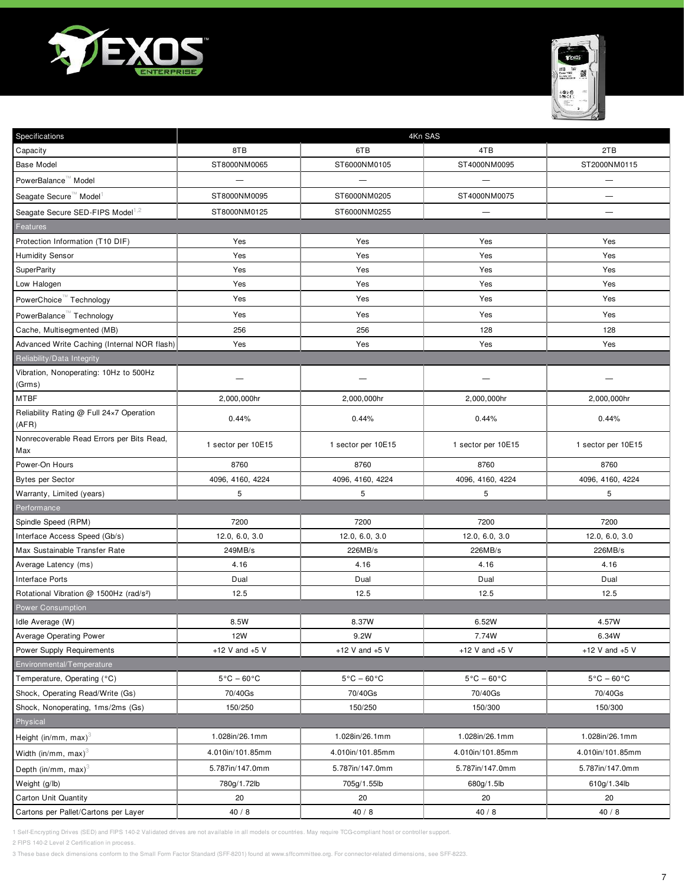



| Specifications                                      | 4Kn SAS                         |                                 |                                 |                                 |  |
|-----------------------------------------------------|---------------------------------|---------------------------------|---------------------------------|---------------------------------|--|
| Capacity                                            | 8TB                             | 6TB                             | 4TB                             | 2TB                             |  |
| <b>Base Model</b>                                   | ST8000NM0065                    | ST6000NM0105                    | ST4000NM0095                    | ST2000NM0115                    |  |
| PowerBalance <sup>™</sup> Model                     | $\overline{\phantom{0}}$        |                                 | $\overline{\phantom{0}}$        | —                               |  |
| Seagate Secure™ Model                               | ST8000NM0095                    | ST6000NM0205                    | ST4000NM0075                    | —                               |  |
| Seagate Secure SED-FIPS Model <sup>1,2</sup>        | ST8000NM0125                    | ST6000NM0255                    | —                               |                                 |  |
| Features                                            |                                 |                                 |                                 |                                 |  |
| Protection Information (T10 DIF)                    | Yes                             | Yes                             | Yes                             | Yes                             |  |
| <b>Humidity Sensor</b>                              | Yes                             | Yes                             | Yes                             | Yes                             |  |
| SuperParity                                         | Yes                             | Yes                             | Yes                             | Yes                             |  |
| Low Halogen                                         | Yes                             | Yes                             | Yes                             | Yes                             |  |
| PowerChoice <sup>™</sup> Technology                 | Yes                             | Yes                             | Yes                             | Yes                             |  |
| PowerBalance <sup>™</sup> Technology                | Yes                             | Yes                             | Yes                             | Yes                             |  |
| Cache, Multisegmented (MB)                          | 256                             | 256                             | 128                             | 128                             |  |
| Advanced Write Caching (Internal NOR flash)         | Yes                             | Yes                             | Yes                             | Yes                             |  |
| Reliability/Data Integrity                          |                                 |                                 |                                 |                                 |  |
| Vibration, Nonoperating: 10Hz to 500Hz<br>(Grms)    |                                 |                                 |                                 |                                 |  |
| <b>MTBF</b>                                         | 2,000,000hr                     | 2,000,000hr                     | 2,000,000hr                     | 2,000,000hr                     |  |
| Reliability Rating @ Full 24×7 Operation<br>(AFR)   | 0.44%                           | 0.44%                           | 0.44%                           | 0.44%                           |  |
| Nonrecoverable Read Errors per Bits Read,<br>Max    | 1 sector per 10E15              | 1 sector per 10E15              | 1 sector per 10E15              | 1 sector per 10E15              |  |
| Power-On Hours                                      | 8760                            | 8760                            | 8760                            | 8760                            |  |
| Bytes per Sector                                    | 4096, 4160, 4224                | 4096, 4160, 4224                | 4096, 4160, 4224                | 4096, 4160, 4224                |  |
| Warranty, Limited (years)                           | 5                               | 5                               | 5                               | 5                               |  |
| Performance                                         |                                 |                                 |                                 |                                 |  |
| Spindle Speed (RPM)                                 | 7200                            | 7200                            | 7200                            | 7200                            |  |
| Interface Access Speed (Gb/s)                       | 12.0, 6.0, 3.0                  | 12.0, 6.0, 3.0                  | 12.0, 6.0, 3.0                  | 12.0, 6.0, 3.0                  |  |
| Max Sustainable Transfer Rate                       | 249MB/s                         | 226MB/s                         | 226MB/s                         | 226MB/s                         |  |
| Average Latency (ms)                                | 4.16                            | 4.16                            | 4.16                            | 4.16                            |  |
| <b>Interface Ports</b>                              | Dual                            | Dual                            | Dual                            | Dual                            |  |
| Rotational Vibration @ 1500Hz (rad/s <sup>2</sup> ) | 12.5                            | 12.5                            | 12.5                            | 12.5                            |  |
| <b>Power Consumption</b>                            |                                 |                                 |                                 |                                 |  |
| Idle Average (W)                                    | 8.5W                            | 8.37W                           | 6.52W                           | 4.57W                           |  |
| <b>Average Operating Power</b>                      | 12W                             | 9.2W                            | 7.74W                           | 6.34W                           |  |
| Power Supply Requirements                           | +12 V and $+5$ V                | +12 V and $+5$ V                | +12 V and $+5$ V                | +12 V and $+5$ V                |  |
| Environmental/Temperature                           |                                 |                                 |                                 |                                 |  |
| Temperature, Operating (°C)                         | $5^{\circ}$ C – 60 $^{\circ}$ C | $5^{\circ}$ C – 60 $^{\circ}$ C | $5^{\circ}$ C – 60 $^{\circ}$ C | $5^{\circ}$ C – 60 $^{\circ}$ C |  |
| Shock, Operating Read/Write (Gs)                    | 70/40Gs                         | 70/40Gs                         | 70/40Gs                         | 70/40Gs                         |  |
| Shock, Nonoperating, 1ms/2ms (Gs)                   | 150/250                         | 150/250                         | 150/300                         | 150/300                         |  |
| Physical                                            |                                 |                                 |                                 |                                 |  |
| Height (in/mm, max) $3$                             | 1.028in/26.1mm                  | 1.028in/26.1mm                  | 1.028in/26.1mm                  | 1.028in/26.1mm                  |  |
| Width (in/mm, max) <sup>3</sup>                     | 4.010in/101.85mm                | 4.010in/101.85mm                | 4.010in/101.85mm                | 4.010in/101.85mm                |  |
| Depth (in/mm, max) <sup>3</sup>                     | 5.787in/147.0mm                 | 5.787in/147.0mm                 | 5.787in/147.0mm                 | 5.787in/147.0mm                 |  |
| Weight (g/lb)                                       | 780g/1.72lb                     | 705g/1.55lb                     | 680g/1.5lb                      | 610g/1.34lb                     |  |
| Carton Unit Quantity                                | 20                              | 20                              | 20                              | 20                              |  |
| Cartons per Pallet/Cartons per Layer                | 40/8                            | 40/8                            | 40/8                            | 40/8                            |  |

2 FIPS 140-2 Level 2 Certification in process.